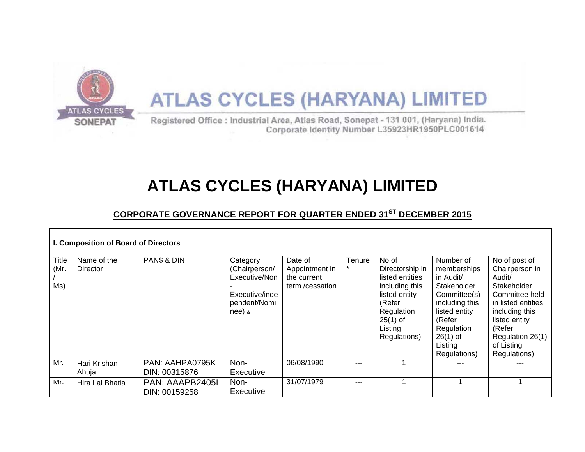

# **ATLAS CYCLES (HARYANA) LIMITED**

Registered Office : Industrial Area, Atlas Road, Sonepat - 131 001, (Haryana) India. Corporate Identity Number L35923HR1950PLC001614

## **ATLAS CYCLES (HARYANA) LIMITED**

## **CORPORATE GOVERNANCE REPORT FOR QUARTER ENDED 31ST DECEMBER 2015**

| I. Composition of Board of Directors |                                |                                  |                                                                                          |                                                            |         |                                                                                                                                                 |                                                                                                                                                                                 |                                                                                                                                                                                                 |  |  |
|--------------------------------------|--------------------------------|----------------------------------|------------------------------------------------------------------------------------------|------------------------------------------------------------|---------|-------------------------------------------------------------------------------------------------------------------------------------------------|---------------------------------------------------------------------------------------------------------------------------------------------------------------------------------|-------------------------------------------------------------------------------------------------------------------------------------------------------------------------------------------------|--|--|
| <b>Title</b><br>(Mr.<br>Ms)          | Name of the<br><b>Director</b> | PAN\$ & DIN                      | Category<br>(Chairperson/<br>Executive/Non<br>Executive/inde<br>pendent/Nomi<br>$nee)$ & | Date of<br>Appointment in<br>the current<br>term/cessation | Tenure  | No of<br>Directorship in<br>listed entities<br>including this<br>listed entity<br>(Refer<br>Regulation<br>$25(1)$ of<br>Listing<br>Regulations) | Number of<br>memberships<br>in Audit/<br><b>Stakeholder</b><br>Committee(s)<br>including this<br>listed entity<br>(Refer<br>Regulation<br>$26(1)$ of<br>Listing<br>Regulations) | No of post of<br>Chairperson in<br>Audit/<br>Stakeholder<br>Committee held<br>in listed entities<br>including this<br>listed entity<br>(Refer<br>Regulation 26(1)<br>of Listing<br>Regulations) |  |  |
| Mr.                                  | Hari Krishan<br>Ahuja          | PAN: AAHPA0795K<br>DIN: 00315876 | Non-<br>Executive                                                                        | 06/08/1990                                                 |         |                                                                                                                                                 |                                                                                                                                                                                 |                                                                                                                                                                                                 |  |  |
| Mr.                                  | Hira Lal Bhatia                | PAN: AAAPB2405L<br>DIN: 00159258 | Non-<br>Executive                                                                        | 31/07/1979                                                 | $- - -$ |                                                                                                                                                 |                                                                                                                                                                                 |                                                                                                                                                                                                 |  |  |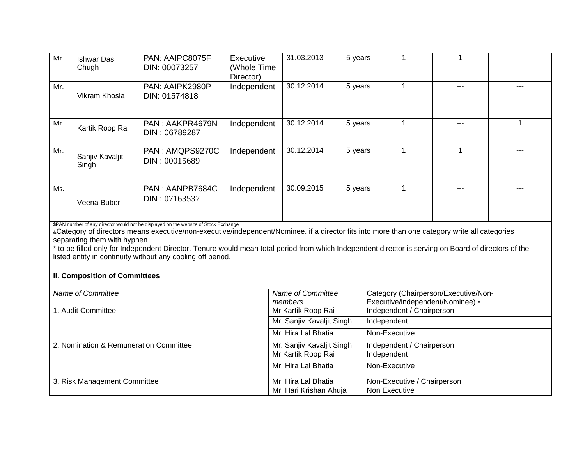| Mr.                                                                                                                                                                                                                                                                                                                                                                                                                                                                                         | <b>Ishwar Das</b><br>Chugh | PAN: AAIPC8075F<br>DIN: 00073257 | Executive<br>(Whole Time<br>Director) | 31.03.2013                           | 5 years | 1                                                                         | 1   |       |  |
|---------------------------------------------------------------------------------------------------------------------------------------------------------------------------------------------------------------------------------------------------------------------------------------------------------------------------------------------------------------------------------------------------------------------------------------------------------------------------------------------|----------------------------|----------------------------------|---------------------------------------|--------------------------------------|---------|---------------------------------------------------------------------------|-----|-------|--|
| Mr.                                                                                                                                                                                                                                                                                                                                                                                                                                                                                         | Vikram Khosla              | PAN: AAIPK2980P<br>DIN: 01574818 | Independent                           | 30.12.2014                           | 5 years | 1                                                                         | --- | $---$ |  |
| Mr.                                                                                                                                                                                                                                                                                                                                                                                                                                                                                         | Kartik Roop Rai            | PAN: AAKPR4679N<br>DIN: 06789287 | Independent                           | 30.12.2014                           | 5 years | 1                                                                         | --- | 1     |  |
| Mr.                                                                                                                                                                                                                                                                                                                                                                                                                                                                                         | Sanjiv Kavaljit<br>Singh   | PAN: AMQPS9270C<br>DIN: 00015689 | Independent                           | 30.12.2014                           | 5 years | 1                                                                         | 1   |       |  |
| Ms.                                                                                                                                                                                                                                                                                                                                                                                                                                                                                         | Veena Buber                | PAN: AANPB7684C<br>DIN: 07163537 | Independent                           | 30.09.2015                           | 5 years | 1                                                                         | --- |       |  |
| \$PAN number of any director would not be displayed on the website of Stock Exchange<br>«Category of directors means executive/non-executive/independent/Nominee. if a director fits into more than one category write all categories<br>separating them with hyphen<br>* to be filled only for Independent Director. Tenure would mean total period from which Independent director is serving on Board of directors of the<br>listed entity in continuity without any cooling off period. |                            |                                  |                                       |                                      |         |                                                                           |     |       |  |
| <b>II. Composition of Committees</b>                                                                                                                                                                                                                                                                                                                                                                                                                                                        |                            |                                  |                                       |                                      |         |                                                                           |     |       |  |
| Name of Committee                                                                                                                                                                                                                                                                                                                                                                                                                                                                           |                            |                                  |                                       | Name of Committee<br>members         |         | Category (Chairperson/Executive/Non-<br>Executive/independent/Nominee) \$ |     |       |  |
| 1. Audit Committee                                                                                                                                                                                                                                                                                                                                                                                                                                                                          |                            |                                  |                                       | Mr Kartik Roop Rai                   |         | Independent / Chairperson                                                 |     |       |  |
|                                                                                                                                                                                                                                                                                                                                                                                                                                                                                             |                            |                                  |                                       | Mr. Sanjiv Kavaljit Singh            |         | Independent                                                               |     |       |  |
|                                                                                                                                                                                                                                                                                                                                                                                                                                                                                             |                            |                                  |                                       | Mr. Hira Lal Bhatia                  |         | Non-Executive                                                             |     |       |  |
| 2. Nomination & Remuneration Committee                                                                                                                                                                                                                                                                                                                                                                                                                                                      |                            |                                  |                                       | Mr. Sanjiv Kavaljit Singh            |         | Independent / Chairperson                                                 |     |       |  |
|                                                                                                                                                                                                                                                                                                                                                                                                                                                                                             |                            |                                  |                                       | Mr Kartik Roop Rai                   |         | Independent                                                               |     |       |  |
|                                                                                                                                                                                                                                                                                                                                                                                                                                                                                             |                            |                                  |                                       | Mr. Hira Lal Bhatia<br>Non-Executive |         |                                                                           |     |       |  |
| 3. Risk Management Committee                                                                                                                                                                                                                                                                                                                                                                                                                                                                |                            |                                  |                                       | Mr. Hira Lal Bhatia                  |         | Non-Executive / Chairperson                                               |     |       |  |
|                                                                                                                                                                                                                                                                                                                                                                                                                                                                                             |                            |                                  |                                       | Mr. Hari Krishan Ahuja               |         | Non Executive                                                             |     |       |  |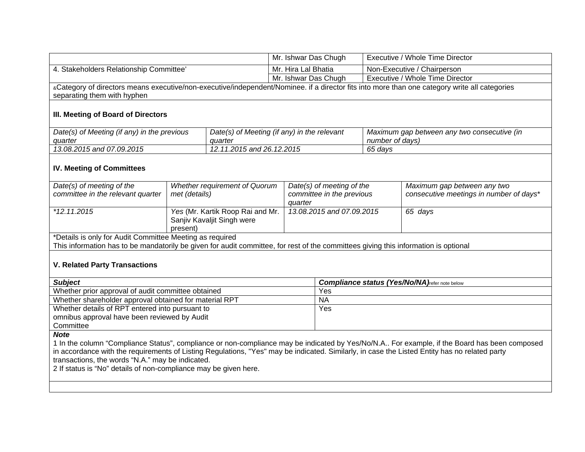|                                                                                                                                               |                                                                            | Mr. Ishwar Das Chugh          |                      | Executive / Whole Time Director                       |                                 |                                                                                                                                               |  |  |  |
|-----------------------------------------------------------------------------------------------------------------------------------------------|----------------------------------------------------------------------------|-------------------------------|----------------------|-------------------------------------------------------|---------------------------------|-----------------------------------------------------------------------------------------------------------------------------------------------|--|--|--|
| 4. Stakeholders Relationship Committee'                                                                                                       |                                                                            | Mr. Hira Lal Bhatia           |                      |                                                       | Non-Executive / Chairperson     |                                                                                                                                               |  |  |  |
|                                                                                                                                               |                                                                            |                               | Mr. Ishwar Das Chugh |                                                       | Executive / Whole Time Director |                                                                                                                                               |  |  |  |
|                                                                                                                                               |                                                                            |                               |                      |                                                       |                                 | «Category of directors means executive/non-executive/independent/Nominee. if a director fits into more than one category write all categories |  |  |  |
| separating them with hyphen                                                                                                                   |                                                                            |                               |                      |                                                       |                                 |                                                                                                                                               |  |  |  |
| III. Meeting of Board of Directors                                                                                                            |                                                                            |                               |                      |                                                       |                                 |                                                                                                                                               |  |  |  |
| Date(s) of Meeting (if any) in the previous                                                                                                   | Date(s) of Meeting (if any) in the relevant                                |                               |                      | Maximum gap between any two consecutive (in           |                                 |                                                                                                                                               |  |  |  |
| quarter                                                                                                                                       | quarter                                                                    |                               |                      | number of days)                                       |                                 |                                                                                                                                               |  |  |  |
| 13.08.2015 and 07.09.2015                                                                                                                     |                                                                            | 12.11.2015 and 26.12.2015     |                      |                                                       | 65 days                         |                                                                                                                                               |  |  |  |
| <b>IV. Meeting of Committees</b>                                                                                                              |                                                                            |                               |                      |                                                       |                                 |                                                                                                                                               |  |  |  |
| Date(s) of meeting of the                                                                                                                     |                                                                            | Whether requirement of Quorum |                      | Date(s) of meeting of the                             |                                 | Maximum gap between any two                                                                                                                   |  |  |  |
| committee in the relevant quarter                                                                                                             | met (details)                                                              |                               | quarter              | committee in the previous                             |                                 | consecutive meetings in number of days*                                                                                                       |  |  |  |
| $*12.11.2015$                                                                                                                                 | Yes (Mr. Kartik Roop Rai and Mr.<br>Sanjiv Kavaljit Singh were<br>present) |                               |                      | 13.08.2015 and 07.09.2015                             |                                 | 65 days                                                                                                                                       |  |  |  |
| *Details is only for Audit Committee Meeting as required                                                                                      |                                                                            |                               |                      |                                                       |                                 |                                                                                                                                               |  |  |  |
| This information has to be mandatorily be given for audit committee, for rest of the committees giving this information is optional           |                                                                            |                               |                      |                                                       |                                 |                                                                                                                                               |  |  |  |
| <b>V. Related Party Transactions</b>                                                                                                          |                                                                            |                               |                      |                                                       |                                 |                                                                                                                                               |  |  |  |
| <b>Subject</b>                                                                                                                                |                                                                            |                               |                      | <b>Compliance status (Yes/No/NA)</b> refer note below |                                 |                                                                                                                                               |  |  |  |
| Whether prior approval of audit committee obtained                                                                                            |                                                                            |                               |                      | Yes                                                   |                                 |                                                                                                                                               |  |  |  |
| Whether shareholder approval obtained for material RPT                                                                                        |                                                                            |                               | <b>NA</b>            |                                                       |                                 |                                                                                                                                               |  |  |  |
| Whether details of RPT entered into pursuant to                                                                                               |                                                                            |                               | Yes                  |                                                       |                                 |                                                                                                                                               |  |  |  |
| omnibus approval have been reviewed by Audit<br>Committee                                                                                     |                                                                            |                               |                      |                                                       |                                 |                                                                                                                                               |  |  |  |
| <b>Note</b>                                                                                                                                   |                                                                            |                               |                      |                                                       |                                 |                                                                                                                                               |  |  |  |
| 1 In the column "Compliance Status", compliance or non-compliance may be indicated by Yes/No/N.A For example, if the Board has been composed  |                                                                            |                               |                      |                                                       |                                 |                                                                                                                                               |  |  |  |
| in accordance with the requirements of Listing Regulations, "Yes" may be indicated. Similarly, in case the Listed Entity has no related party |                                                                            |                               |                      |                                                       |                                 |                                                                                                                                               |  |  |  |
| transactions, the words "N.A." may be indicated.                                                                                              |                                                                            |                               |                      |                                                       |                                 |                                                                                                                                               |  |  |  |
| 2 If status is "No" details of non-compliance may be given here.                                                                              |                                                                            |                               |                      |                                                       |                                 |                                                                                                                                               |  |  |  |
|                                                                                                                                               |                                                                            |                               |                      |                                                       |                                 |                                                                                                                                               |  |  |  |